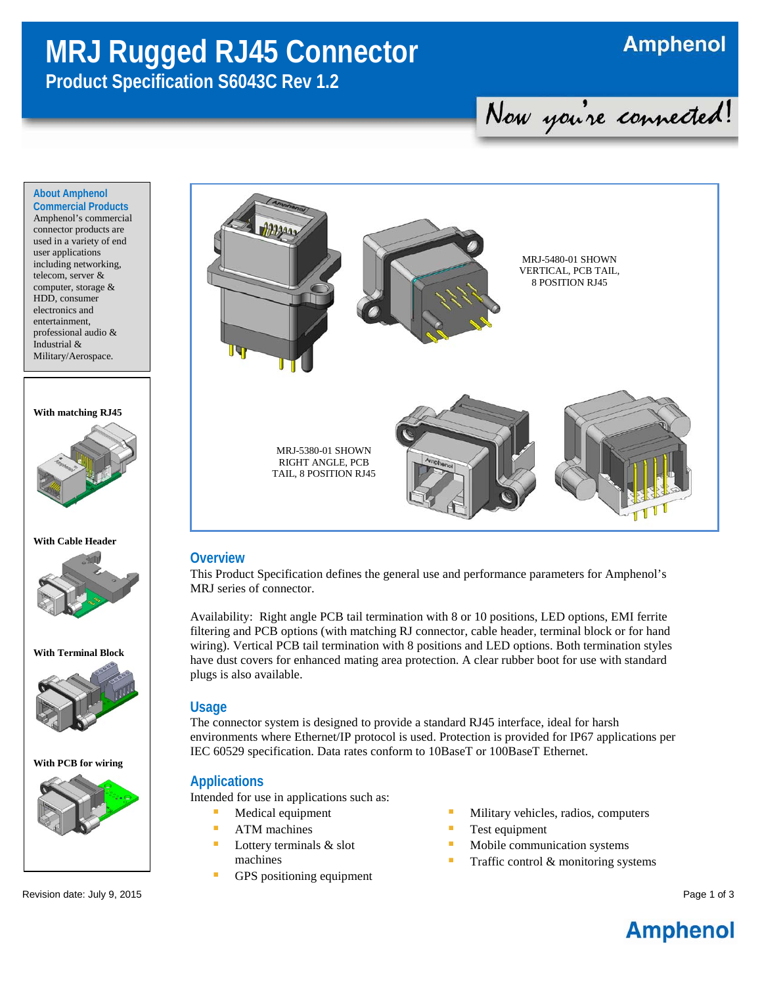# **MRJ Rugged RJ45 Connector**

**Amphenol** 

## **Product Specification S6043C Rev 1.2**

Now you're connected!

#### **About Amphenol Commercial Products**

Amphenol's commercial connector products are used in a variety of end user applications including networking, telecom, server & computer, storage & HDD, consumer electronics and entertainment, professional audio & Industrial & Military/Aerospace.

#### **With matching RJ45**



#### **With Cable Header**



**With Terminal Block**



**With PCB for wiring**



Revision date: July 9, 2015 **Page 1 of 3** and the visit of 3 and the visit of 3 and the visit of 3 and the visit of 3 and the visit of 3 and the visit of 3 and the visit of 3 and the visit of 3 and the visit of 3 and the v



#### **Overview**

This Product Specification defines the general use and performance parameters for Amphenol's MRJ series of connector.

Availability: Right angle PCB tail termination with 8 or 10 positions, LED options, EMI ferrite filtering and PCB options (with matching RJ connector, cable header, terminal block or for hand wiring). Vertical PCB tail termination with 8 positions and LED options. Both termination styles have dust covers for enhanced mating area protection. A clear rubber boot for use with standard plugs is also available.

#### **Usage**

The connector system is designed to provide a standard RJ45 interface, ideal for harsh environments where Ethernet/IP protocol is used. Protection is provided for IP67 applications per IEC 60529 specification. Data rates conform to 10BaseT or 100BaseT Ethernet.

#### **Applications**

Intended for use in applications such as:

- Medical equipment
- **ATM** machines
- Lottery terminals & slot machines
- GPS positioning equipment
- Military vehicles, radios, computers
- Test equipment
- Mobile communication systems
- Traffic control & monitoring systems

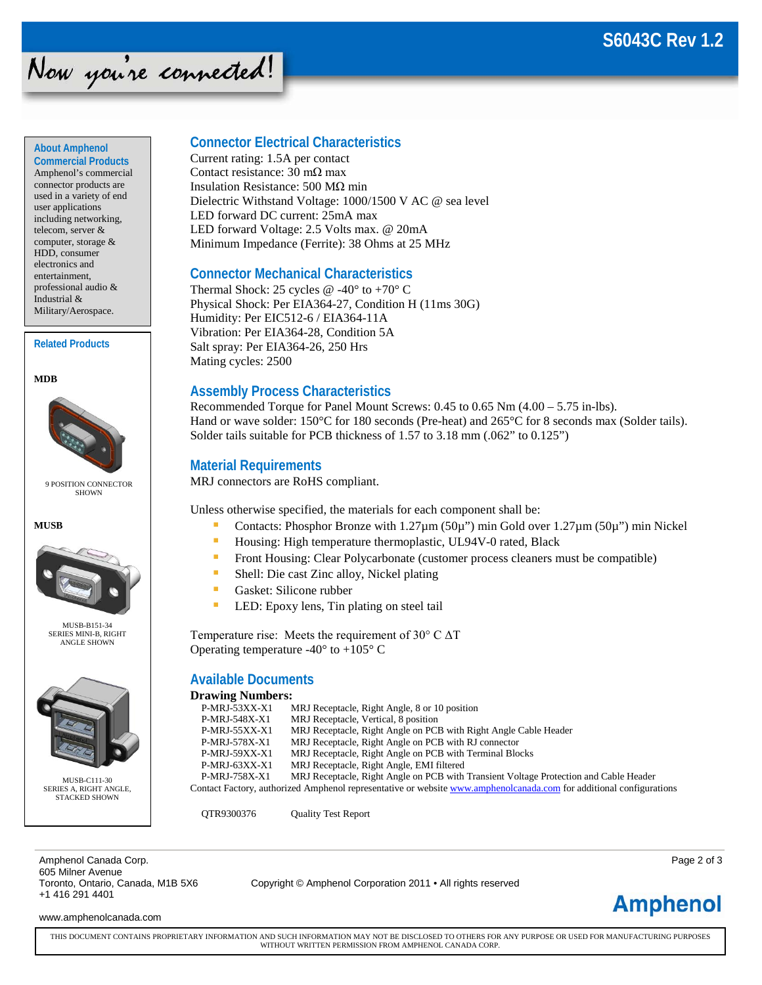### **S6043C Rev 1.2**

## Now you're connected!

#### **About Amphenol**

**Commercial Products** Amphenol's commercial connector products are used in a variety of end user applications including networking, telecom, server & computer, storage & HDD, consumer electronics and entertainment, professional audio & Industrial & Military/Aerospace.

#### **Related Products**

**MDB**



#### 9 POSITION CONNECTOR SHOWN

**MUSB**



MUSB-B151-34 SERIES MINI-B, RIGHT ANGLE SHOWN



MUSB-C111-30 SERIES A, RIGHT ANGLE, STACKED SHOWN

#### **Connector Electrical Characteristics**

Current rating: 1.5A per contact Contact resistance: 30 mΩ max Insulation Resistance: 500 MΩ min Dielectric Withstand Voltage: 1000/1500 V AC @ sea level LED forward DC current: 25mA max LED forward Voltage: 2.5 Volts max. @ 20mA Minimum Impedance (Ferrite): 38 Ohms at 25 MHz

#### **Connector Mechanical Characteristics**

Thermal Shock: 25 cycles  $@ -40°$  to  $+70°$  C Physical Shock: Per EIA364-27, Condition H (11ms 30G) Humidity: Per EIC512-6 / EIA364-11A Vibration: Per EIA364-28, Condition 5A Salt spray: Per EIA364-26, 250 Hrs Mating cycles: 2500

#### **Assembly Process Characteristics**

Recommended Torque for Panel Mount Screws: 0.45 to 0.65 Nm (4.00 – 5.75 in-lbs). Hand or wave solder: 150°C for 180 seconds (Pre-heat) and 265°C for 8 seconds max (Solder tails). Solder tails suitable for PCB thickness of 1.57 to 3.18 mm (.062" to 0.125")

#### **Material Requirements**

MRJ connectors are RoHS compliant.

Unless otherwise specified, the materials for each component shall be:

- Contacts: Phosphor Bronze with 1.27µm (50µ") min Gold over 1.27µm (50µ") min Nickel
- **Housing: High temperature thermoplastic, UL94V-0 rated, Black**
- **Front Housing: Clear Polycarbonate (customer process cleaners must be compatible)**
- Shell: Die cast Zinc alloy, Nickel plating
- **Gasket: Silicone rubber**
- **LED:** Epoxy lens, Tin plating on steel tail

Temperature rise: Meets the requirement of 30° C ΔT Operating temperature -40 $\degree$  to +105 $\degree$  C

#### **Available Documents**

#### **Drawing Numbers:**

| $P-MRI-53XX-X1$                                                                                                     | MRJ Receptacle, Right Angle, 8 or 10 position                                         |  |  |  |  |  |  |
|---------------------------------------------------------------------------------------------------------------------|---------------------------------------------------------------------------------------|--|--|--|--|--|--|
| P-MRJ-548X-X1                                                                                                       | MRJ Receptacle, Vertical, 8 position                                                  |  |  |  |  |  |  |
| $P-MRI-55XX-X1$                                                                                                     | MRJ Receptacle, Right Angle on PCB with Right Angle Cable Header                      |  |  |  |  |  |  |
| P-MRJ-578X-X1                                                                                                       | MRJ Receptacle, Right Angle on PCB with RJ connector                                  |  |  |  |  |  |  |
| $P-MRI-59XX-X1$                                                                                                     | MRJ Receptacle, Right Angle on PCB with Terminal Blocks                               |  |  |  |  |  |  |
| $P-MRI-63XX-X1$                                                                                                     | MRJ Receptacle, Right Angle, EMI filtered                                             |  |  |  |  |  |  |
| P-MRJ-758X-X1                                                                                                       | MRJ Receptacle, Right Angle on PCB with Transient Voltage Protection and Cable Header |  |  |  |  |  |  |
| Contact Factory, authorized Amphenol representative or website www.amphenolcanada.com for additional configurations |                                                                                       |  |  |  |  |  |  |
|                                                                                                                     |                                                                                       |  |  |  |  |  |  |

QTR9300376 Quality Test Report

Amphenol Canada Corp. Page 2 of 3 605 Milner Avenue<br>Toronto, Ontario, Canada, M1B 5X6 +1 416 291 4401

Copyright © Amphenol Corporation 2011 • All rights reserved

**Amphenol** 

www.amphenolcanada.com

THIS DOCUMENT CONTAINS PROPRIETARY INFORMATION AND SUCH INFORMATION MAY NOT BE DISCLOSED TO OTHERS FOR ANY PURPOSE OR USED FOR MANUFACTURING PURPOSES WITHOUT WRITTEN PERMISSION FROM AMPHENOL CANADA CORP.